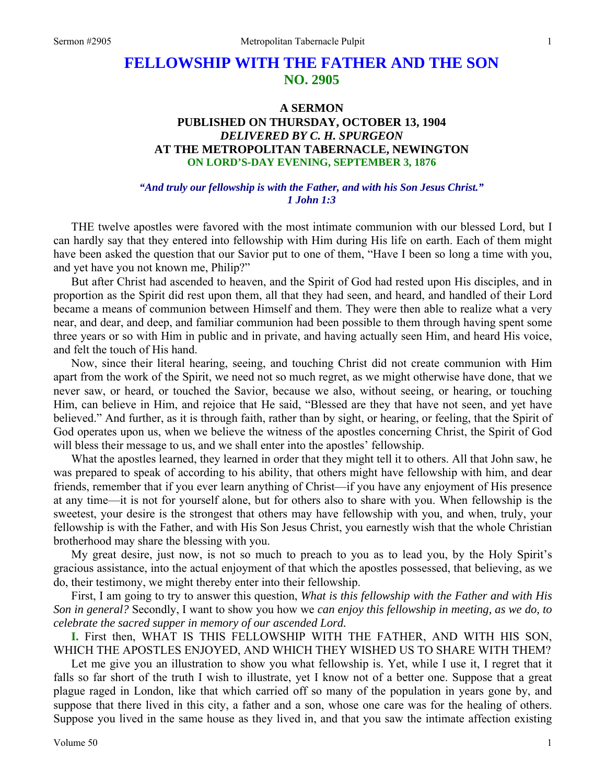# **FELLOWSHIP WITH THE FATHER AND THE SON NO. 2905**

# **A SERMON PUBLISHED ON THURSDAY, OCTOBER 13, 1904**  *DELIVERED BY C. H. SPURGEON*  **AT THE METROPOLITAN TABERNACLE, NEWINGTON ON LORD'S-DAY EVENING, SEPTEMBER 3, 1876**

#### *"And truly our fellowship is with the Father, and with his Son Jesus Christ." 1 John 1:3*

THE twelve apostles were favored with the most intimate communion with our blessed Lord, but I can hardly say that they entered into fellowship with Him during His life on earth. Each of them might have been asked the question that our Savior put to one of them, "Have I been so long a time with you, and yet have you not known me, Philip?"

But after Christ had ascended to heaven, and the Spirit of God had rested upon His disciples, and in proportion as the Spirit did rest upon them, all that they had seen, and heard, and handled of their Lord became a means of communion between Himself and them. They were then able to realize what a very near, and dear, and deep, and familiar communion had been possible to them through having spent some three years or so with Him in public and in private, and having actually seen Him, and heard His voice, and felt the touch of His hand.

Now, since their literal hearing, seeing, and touching Christ did not create communion with Him apart from the work of the Spirit, we need not so much regret, as we might otherwise have done, that we never saw, or heard, or touched the Savior, because we also, without seeing, or hearing, or touching Him, can believe in Him, and rejoice that He said, "Blessed are they that have not seen, and yet have believed." And further, as it is through faith, rather than by sight, or hearing, or feeling, that the Spirit of God operates upon us, when we believe the witness of the apostles concerning Christ, the Spirit of God will bless their message to us, and we shall enter into the apostles' fellowship.

What the apostles learned, they learned in order that they might tell it to others. All that John saw, he was prepared to speak of according to his ability, that others might have fellowship with him, and dear friends, remember that if you ever learn anything of Christ—if you have any enjoyment of His presence at any time—it is not for yourself alone, but for others also to share with you. When fellowship is the sweetest, your desire is the strongest that others may have fellowship with you, and when, truly, your fellowship is with the Father, and with His Son Jesus Christ, you earnestly wish that the whole Christian brotherhood may share the blessing with you.

My great desire, just now, is not so much to preach to you as to lead you, by the Holy Spirit's gracious assistance, into the actual enjoyment of that which the apostles possessed, that believing, as we do, their testimony, we might thereby enter into their fellowship.

First, I am going to try to answer this question, *What is this fellowship with the Father and with His Son in general?* Secondly, I want to show you how we *can enjoy this fellowship in meeting, as we do, to celebrate the sacred supper in memory of our ascended Lord.* 

**I.** First then, WHAT IS THIS FELLOWSHIP WITH THE FATHER, AND WITH HIS SON, WHICH THE APOSTLES ENJOYED, AND WHICH THEY WISHED US TO SHARE WITH THEM?

Let me give you an illustration to show you what fellowship is. Yet, while I use it, I regret that it falls so far short of the truth I wish to illustrate, yet I know not of a better one. Suppose that a great plague raged in London, like that which carried off so many of the population in years gone by, and suppose that there lived in this city, a father and a son, whose one care was for the healing of others. Suppose you lived in the same house as they lived in, and that you saw the intimate affection existing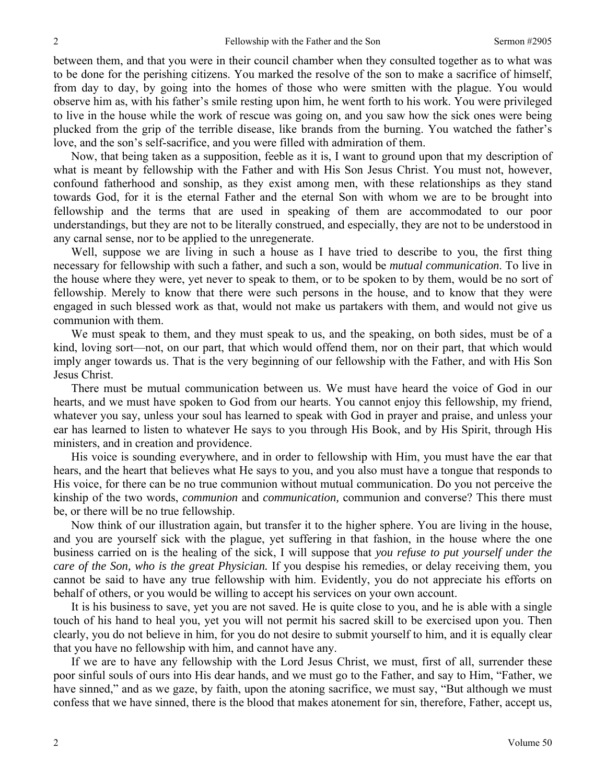between them, and that you were in their council chamber when they consulted together as to what was to be done for the perishing citizens. You marked the resolve of the son to make a sacrifice of himself, from day to day, by going into the homes of those who were smitten with the plague. You would observe him as, with his father's smile resting upon him, he went forth to his work. You were privileged to live in the house while the work of rescue was going on, and you saw how the sick ones were being plucked from the grip of the terrible disease, like brands from the burning. You watched the father's love, and the son's self-sacrifice, and you were filled with admiration of them.

Now, that being taken as a supposition, feeble as it is, I want to ground upon that my description of what is meant by fellowship with the Father and with His Son Jesus Christ. You must not, however, confound fatherhood and sonship, as they exist among men, with these relationships as they stand towards God, for it is the eternal Father and the eternal Son with whom we are to be brought into fellowship and the terms that are used in speaking of them are accommodated to our poor understandings, but they are not to be literally construed, and especially, they are not to be understood in any carnal sense, nor to be applied to the unregenerate.

Well, suppose we are living in such a house as I have tried to describe to you, the first thing necessary for fellowship with such a father, and such a son, would be *mutual communication*. To live in the house where they were, yet never to speak to them, or to be spoken to by them, would be no sort of fellowship. Merely to know that there were such persons in the house, and to know that they were engaged in such blessed work as that, would not make us partakers with them, and would not give us communion with them.

We must speak to them, and they must speak to us, and the speaking, on both sides, must be of a kind, loving sort—not, on our part, that which would offend them, nor on their part, that which would imply anger towards us. That is the very beginning of our fellowship with the Father, and with His Son Jesus Christ.

There must be mutual communication between us. We must have heard the voice of God in our hearts, and we must have spoken to God from our hearts. You cannot enjoy this fellowship, my friend, whatever you say, unless your soul has learned to speak with God in prayer and praise, and unless your ear has learned to listen to whatever He says to you through His Book, and by His Spirit, through His ministers, and in creation and providence.

His voice is sounding everywhere, and in order to fellowship with Him, you must have the ear that hears, and the heart that believes what He says to you, and you also must have a tongue that responds to His voice, for there can be no true communion without mutual communication. Do you not perceive the kinship of the two words, *communion* and *communication,* communion and converse? This there must be, or there will be no true fellowship.

Now think of our illustration again, but transfer it to the higher sphere. You are living in the house, and you are yourself sick with the plague, yet suffering in that fashion, in the house where the one business carried on is the healing of the sick, I will suppose that *you refuse to put yourself under the care of the Son, who is the great Physician.* If you despise his remedies, or delay receiving them, you cannot be said to have any true fellowship with him. Evidently, you do not appreciate his efforts on behalf of others, or you would be willing to accept his services on your own account.

It is his business to save, yet you are not saved. He is quite close to you, and he is able with a single touch of his hand to heal you, yet you will not permit his sacred skill to be exercised upon you. Then clearly, you do not believe in him, for you do not desire to submit yourself to him, and it is equally clear that you have no fellowship with him, and cannot have any.

If we are to have any fellowship with the Lord Jesus Christ, we must, first of all, surrender these poor sinful souls of ours into His dear hands, and we must go to the Father, and say to Him, "Father, we have sinned," and as we gaze, by faith, upon the atoning sacrifice, we must say, "But although we must confess that we have sinned, there is the blood that makes atonement for sin, therefore, Father, accept us,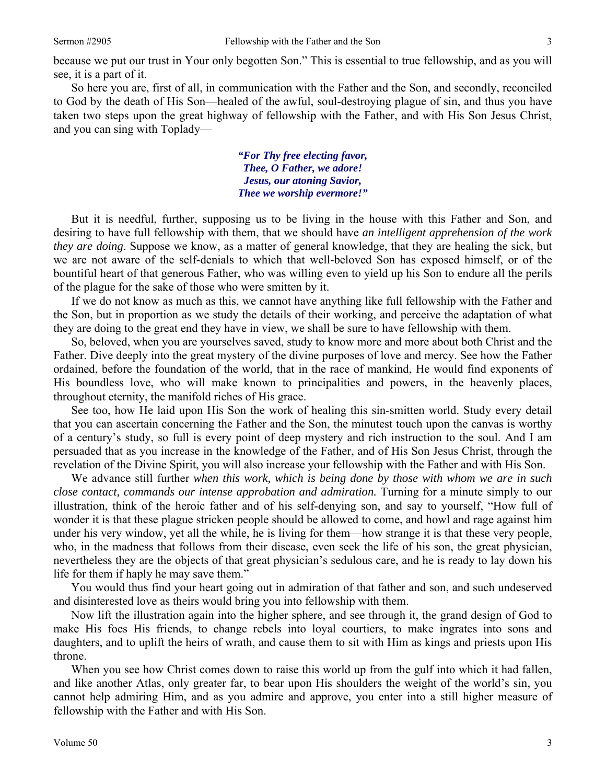So here you are, first of all, in communication with the Father and the Son, and secondly, reconciled to God by the death of His Son—healed of the awful, soul-destroying plague of sin, and thus you have taken two steps upon the great highway of fellowship with the Father, and with His Son Jesus Christ, and you can sing with Toplady—

> *"For Thy free electing favor, Thee, O Father, we adore! Jesus, our atoning Savior, Thee we worship evermore!"*

But it is needful, further, supposing us to be living in the house with this Father and Son, and desiring to have full fellowship with them, that we should have *an intelligent apprehension of the work they are doing*. Suppose we know, as a matter of general knowledge, that they are healing the sick, but we are not aware of the self-denials to which that well-beloved Son has exposed himself, or of the bountiful heart of that generous Father, who was willing even to yield up his Son to endure all the perils of the plague for the sake of those who were smitten by it.

If we do not know as much as this, we cannot have anything like full fellowship with the Father and the Son, but in proportion as we study the details of their working, and perceive the adaptation of what they are doing to the great end they have in view, we shall be sure to have fellowship with them.

So, beloved, when you are yourselves saved, study to know more and more about both Christ and the Father. Dive deeply into the great mystery of the divine purposes of love and mercy. See how the Father ordained, before the foundation of the world, that in the race of mankind, He would find exponents of His boundless love, who will make known to principalities and powers, in the heavenly places, throughout eternity, the manifold riches of His grace.

See too, how He laid upon His Son the work of healing this sin-smitten world. Study every detail that you can ascertain concerning the Father and the Son, the minutest touch upon the canvas is worthy of a century's study, so full is every point of deep mystery and rich instruction to the soul. And I am persuaded that as you increase in the knowledge of the Father, and of His Son Jesus Christ, through the revelation of the Divine Spirit, you will also increase your fellowship with the Father and with His Son.

We advance still further *when this work, which is being done by those with whom we are in such close contact, commands our intense approbation and admiration.* Turning for a minute simply to our illustration, think of the heroic father and of his self-denying son, and say to yourself, "How full of wonder it is that these plague stricken people should be allowed to come, and howl and rage against him under his very window, yet all the while, he is living for them—how strange it is that these very people, who, in the madness that follows from their disease, even seek the life of his son, the great physician, nevertheless they are the objects of that great physician's sedulous care, and he is ready to lay down his life for them if haply he may save them."

You would thus find your heart going out in admiration of that father and son, and such undeserved and disinterested love as theirs would bring you into fellowship with them.

Now lift the illustration again into the higher sphere, and see through it, the grand design of God to make His foes His friends, to change rebels into loyal courtiers, to make ingrates into sons and daughters, and to uplift the heirs of wrath, and cause them to sit with Him as kings and priests upon His throne.

When you see how Christ comes down to raise this world up from the gulf into which it had fallen, and like another Atlas, only greater far, to bear upon His shoulders the weight of the world's sin, you cannot help admiring Him, and as you admire and approve, you enter into a still higher measure of fellowship with the Father and with His Son.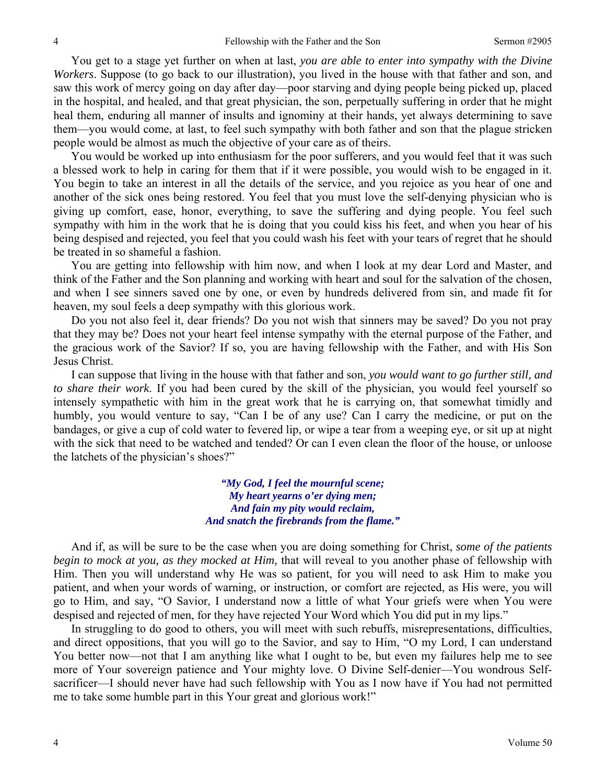You get to a stage yet further on when at last, *you are able to enter into sympathy with the Divine Workers*. Suppose (to go back to our illustration), you lived in the house with that father and son, and saw this work of mercy going on day after day—poor starving and dying people being picked up, placed in the hospital, and healed, and that great physician, the son, perpetually suffering in order that he might heal them, enduring all manner of insults and ignominy at their hands, yet always determining to save them—you would come, at last, to feel such sympathy with both father and son that the plague stricken people would be almost as much the objective of your care as of theirs.

You would be worked up into enthusiasm for the poor sufferers, and you would feel that it was such a blessed work to help in caring for them that if it were possible, you would wish to be engaged in it. You begin to take an interest in all the details of the service, and you rejoice as you hear of one and another of the sick ones being restored. You feel that you must love the self-denying physician who is giving up comfort, ease, honor, everything, to save the suffering and dying people. You feel such sympathy with him in the work that he is doing that you could kiss his feet, and when you hear of his being despised and rejected, you feel that you could wash his feet with your tears of regret that he should be treated in so shameful a fashion.

You are getting into fellowship with him now, and when I look at my dear Lord and Master, and think of the Father and the Son planning and working with heart and soul for the salvation of the chosen, and when I see sinners saved one by one, or even by hundreds delivered from sin, and made fit for heaven, my soul feels a deep sympathy with this glorious work.

Do you not also feel it, dear friends? Do you not wish that sinners may be saved? Do you not pray that they may be? Does not your heart feel intense sympathy with the eternal purpose of the Father, and the gracious work of the Savior? If so, you are having fellowship with the Father, and with His Son Jesus Christ.

I can suppose that living in the house with that father and son, *you would want to go further still, and to share their work*. If you had been cured by the skill of the physician, you would feel yourself so intensely sympathetic with him in the great work that he is carrying on, that somewhat timidly and humbly, you would venture to say, "Can I be of any use? Can I carry the medicine, or put on the bandages, or give a cup of cold water to fevered lip, or wipe a tear from a weeping eye, or sit up at night with the sick that need to be watched and tended? Or can I even clean the floor of the house, or unloose the latchets of the physician's shoes?"

> *"My God, I feel the mournful scene; My heart yearns o'er dying men; And fain my pity would reclaim, And snatch the firebrands from the flame."*

And if, as will be sure to be the case when you are doing something for Christ, *some of the patients begin to mock at you, as they mocked at Him,* that will reveal to you another phase of fellowship with Him. Then you will understand why He was so patient, for you will need to ask Him to make you patient, and when your words of warning, or instruction, or comfort are rejected, as His were, you will go to Him, and say, "O Savior, I understand now a little of what Your griefs were when You were despised and rejected of men, for they have rejected Your Word which You did put in my lips."

In struggling to do good to others, you will meet with such rebuffs, misrepresentations, difficulties, and direct oppositions, that you will go to the Savior, and say to Him, "O my Lord, I can understand You better now—not that I am anything like what I ought to be, but even my failures help me to see more of Your sovereign patience and Your mighty love. O Divine Self-denier—You wondrous Selfsacrificer—I should never have had such fellowship with You as I now have if You had not permitted me to take some humble part in this Your great and glorious work!"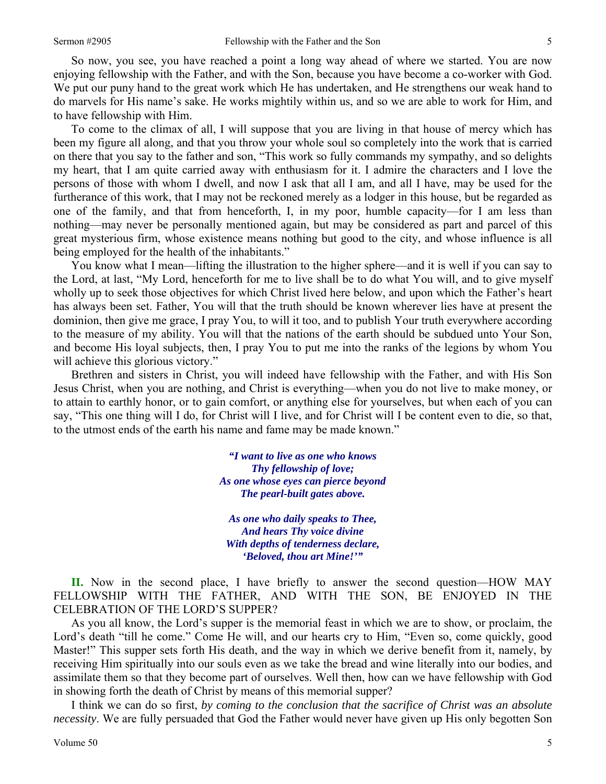So now, you see, you have reached a point a long way ahead of where we started. You are now enjoying fellowship with the Father, and with the Son, because you have become a co-worker with God. We put our puny hand to the great work which He has undertaken, and He strengthens our weak hand to do marvels for His name's sake. He works mightily within us, and so we are able to work for Him, and to have fellowship with Him.

To come to the climax of all, I will suppose that you are living in that house of mercy which has been my figure all along, and that you throw your whole soul so completely into the work that is carried on there that you say to the father and son, "This work so fully commands my sympathy, and so delights my heart, that I am quite carried away with enthusiasm for it. I admire the characters and I love the persons of those with whom I dwell, and now I ask that all I am, and all I have, may be used for the furtherance of this work, that I may not be reckoned merely as a lodger in this house, but be regarded as one of the family, and that from henceforth, I, in my poor, humble capacity—for I am less than nothing—may never be personally mentioned again, but may be considered as part and parcel of this great mysterious firm, whose existence means nothing but good to the city, and whose influence is all being employed for the health of the inhabitants."

You know what I mean—lifting the illustration to the higher sphere—and it is well if you can say to the Lord, at last, "My Lord, henceforth for me to live shall be to do what You will, and to give myself wholly up to seek those objectives for which Christ lived here below, and upon which the Father's heart has always been set. Father, You will that the truth should be known wherever lies have at present the dominion, then give me grace, I pray You, to will it too, and to publish Your truth everywhere according to the measure of my ability. You will that the nations of the earth should be subdued unto Your Son, and become His loyal subjects, then, I pray You to put me into the ranks of the legions by whom You will achieve this glorious victory."

Brethren and sisters in Christ, you will indeed have fellowship with the Father, and with His Son Jesus Christ, when you are nothing, and Christ is everything—when you do not live to make money, or to attain to earthly honor, or to gain comfort, or anything else for yourselves, but when each of you can say, "This one thing will I do, for Christ will I live, and for Christ will I be content even to die, so that, to the utmost ends of the earth his name and fame may be made known."

> *"I want to live as one who knows Thy fellowship of love; As one whose eyes can pierce beyond The pearl-built gates above.*

*As one who daily speaks to Thee, And hears Thy voice divine With depths of tenderness declare, 'Beloved, thou art Mine!'"* 

**II.** Now in the second place, I have briefly to answer the second question—HOW MAY FELLOWSHIP WITH THE FATHER, AND WITH THE SON, BE ENJOYED IN THE CELEBRATION OF THE LORD'S SUPPER?

As you all know, the Lord's supper is the memorial feast in which we are to show, or proclaim, the Lord's death "till he come." Come He will, and our hearts cry to Him, "Even so, come quickly, good Master!" This supper sets forth His death, and the way in which we derive benefit from it, namely, by receiving Him spiritually into our souls even as we take the bread and wine literally into our bodies, and assimilate them so that they become part of ourselves. Well then, how can we have fellowship with God in showing forth the death of Christ by means of this memorial supper?

I think we can do so first, *by coming to the conclusion that the sacrifice of Christ was an absolute necessity*. We are fully persuaded that God the Father would never have given up His only begotten Son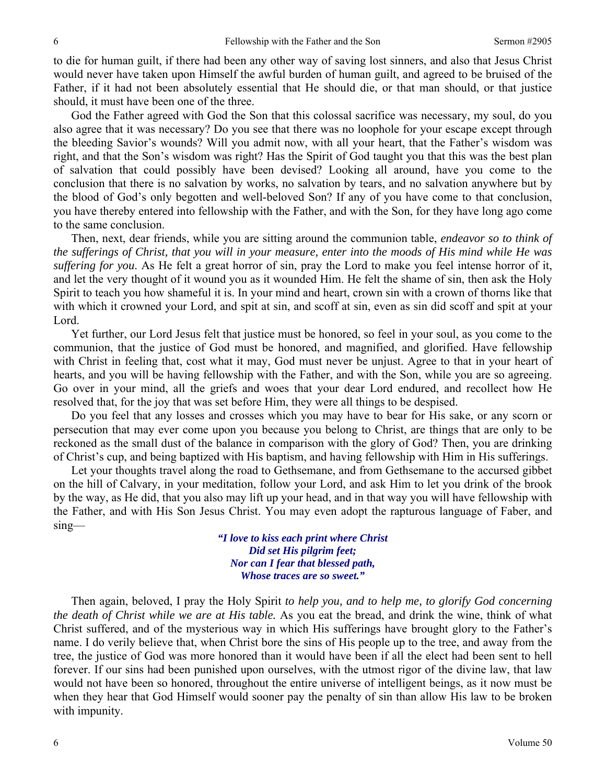to die for human guilt, if there had been any other way of saving lost sinners, and also that Jesus Christ would never have taken upon Himself the awful burden of human guilt, and agreed to be bruised of the Father, if it had not been absolutely essential that He should die, or that man should, or that justice should, it must have been one of the three.

God the Father agreed with God the Son that this colossal sacrifice was necessary, my soul, do you also agree that it was necessary? Do you see that there was no loophole for your escape except through the bleeding Savior's wounds? Will you admit now, with all your heart, that the Father's wisdom was right, and that the Son's wisdom was right? Has the Spirit of God taught you that this was the best plan of salvation that could possibly have been devised? Looking all around, have you come to the conclusion that there is no salvation by works, no salvation by tears, and no salvation anywhere but by the blood of God's only begotten and well-beloved Son? If any of you have come to that conclusion, you have thereby entered into fellowship with the Father, and with the Son, for they have long ago come to the same conclusion.

Then, next, dear friends, while you are sitting around the communion table, *endeavor so to think of the sufferings of Christ, that you will in your measure, enter into the moods of His mind while He was suffering for you*. As He felt a great horror of sin, pray the Lord to make you feel intense horror of it, and let the very thought of it wound you as it wounded Him. He felt the shame of sin, then ask the Holy Spirit to teach you how shameful it is. In your mind and heart, crown sin with a crown of thorns like that with which it crowned your Lord, and spit at sin, and scoff at sin, even as sin did scoff and spit at your Lord.

Yet further, our Lord Jesus felt that justice must be honored, so feel in your soul, as you come to the communion, that the justice of God must be honored, and magnified, and glorified. Have fellowship with Christ in feeling that, cost what it may, God must never be unjust. Agree to that in your heart of hearts, and you will be having fellowship with the Father, and with the Son, while you are so agreeing. Go over in your mind, all the griefs and woes that your dear Lord endured, and recollect how He resolved that, for the joy that was set before Him, they were all things to be despised.

Do you feel that any losses and crosses which you may have to bear for His sake, or any scorn or persecution that may ever come upon you because you belong to Christ, are things that are only to be reckoned as the small dust of the balance in comparison with the glory of God? Then, you are drinking of Christ's cup, and being baptized with His baptism, and having fellowship with Him in His sufferings.

Let your thoughts travel along the road to Gethsemane, and from Gethsemane to the accursed gibbet on the hill of Calvary, in your meditation, follow your Lord, and ask Him to let you drink of the brook by the way, as He did, that you also may lift up your head, and in that way you will have fellowship with the Father, and with His Son Jesus Christ. You may even adopt the rapturous language of Faber, and sing—

> *"I love to kiss each print where Christ Did set His pilgrim feet; Nor can I fear that blessed path, Whose traces are so sweet."*

Then again, beloved, I pray the Holy Spirit *to help you, and to help me, to glorify God concerning the death of Christ while we are at His table.* As you eat the bread, and drink the wine, think of what Christ suffered, and of the mysterious way in which His sufferings have brought glory to the Father's name. I do verily believe that, when Christ bore the sins of His people up to the tree, and away from the tree, the justice of God was more honored than it would have been if all the elect had been sent to hell forever. If our sins had been punished upon ourselves, with the utmost rigor of the divine law, that law would not have been so honored, throughout the entire universe of intelligent beings, as it now must be when they hear that God Himself would sooner pay the penalty of sin than allow His law to be broken with impunity.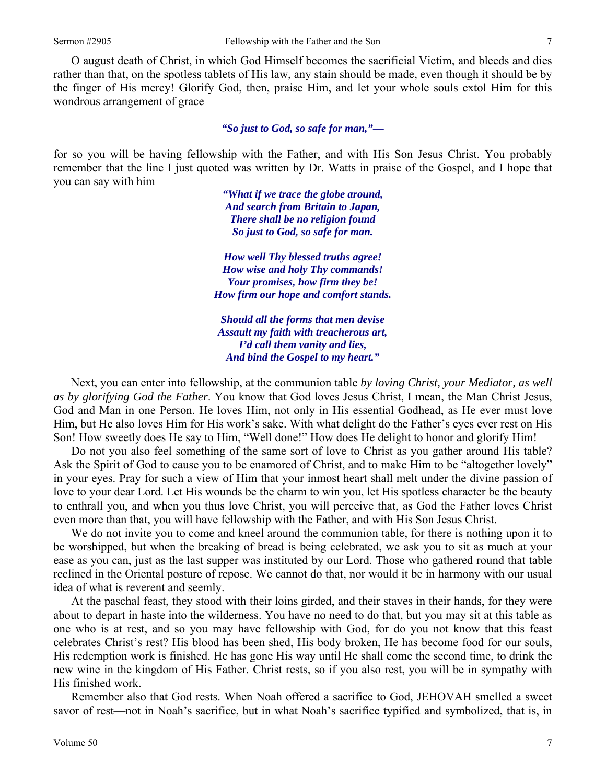O august death of Christ, in which God Himself becomes the sacrificial Victim, and bleeds and dies rather than that, on the spotless tablets of His law, any stain should be made, even though it should be by the finger of His mercy! Glorify God, then, praise Him, and let your whole souls extol Him for this wondrous arrangement of grace—

#### *"So just to God, so safe for man,"—*

for so you will be having fellowship with the Father, and with His Son Jesus Christ. You probably remember that the line I just quoted was written by Dr. Watts in praise of the Gospel, and I hope that you can say with him—

> *"What if we trace the globe around, And search from Britain to Japan, There shall be no religion found So just to God, so safe for man.*

*How well Thy blessed truths agree! How wise and holy Thy commands! Your promises, how firm they be! How firm our hope and comfort stands.* 

*Should all the forms that men devise Assault my faith with treacherous art, I'd call them vanity and lies, And bind the Gospel to my heart."* 

Next, you can enter into fellowship, at the communion table *by loving Christ, your Mediator, as well as by glorifying God the Father*. You know that God loves Jesus Christ, I mean, the Man Christ Jesus, God and Man in one Person. He loves Him, not only in His essential Godhead, as He ever must love Him, but He also loves Him for His work's sake. With what delight do the Father's eyes ever rest on His Son! How sweetly does He say to Him, "Well done!" How does He delight to honor and glorify Him!

Do not you also feel something of the same sort of love to Christ as you gather around His table? Ask the Spirit of God to cause you to be enamored of Christ, and to make Him to be "altogether lovely" in your eyes. Pray for such a view of Him that your inmost heart shall melt under the divine passion of love to your dear Lord. Let His wounds be the charm to win you, let His spotless character be the beauty to enthrall you, and when you thus love Christ, you will perceive that, as God the Father loves Christ even more than that, you will have fellowship with the Father, and with His Son Jesus Christ.

We do not invite you to come and kneel around the communion table, for there is nothing upon it to be worshipped, but when the breaking of bread is being celebrated, we ask you to sit as much at your ease as you can, just as the last supper was instituted by our Lord. Those who gathered round that table reclined in the Oriental posture of repose. We cannot do that, nor would it be in harmony with our usual idea of what is reverent and seemly.

At the paschal feast, they stood with their loins girded, and their staves in their hands, for they were about to depart in haste into the wilderness. You have no need to do that, but you may sit at this table as one who is at rest, and so you may have fellowship with God, for do you not know that this feast celebrates Christ's rest? His blood has been shed, His body broken, He has become food for our souls, His redemption work is finished. He has gone His way until He shall come the second time, to drink the new wine in the kingdom of His Father. Christ rests, so if you also rest, you will be in sympathy with His finished work.

Remember also that God rests. When Noah offered a sacrifice to God, JEHOVAH smelled a sweet savor of rest—not in Noah's sacrifice, but in what Noah's sacrifice typified and symbolized, that is, in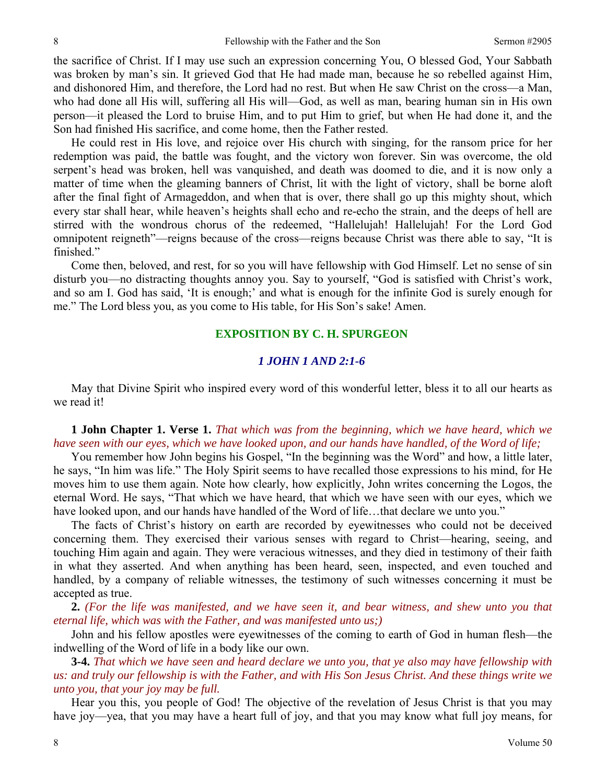the sacrifice of Christ. If I may use such an expression concerning You, O blessed God, Your Sabbath was broken by man's sin. It grieved God that He had made man, because he so rebelled against Him, and dishonored Him, and therefore, the Lord had no rest. But when He saw Christ on the cross—a Man, who had done all His will, suffering all His will—God, as well as man, bearing human sin in His own person—it pleased the Lord to bruise Him, and to put Him to grief, but when He had done it, and the Son had finished His sacrifice, and come home, then the Father rested.

He could rest in His love, and rejoice over His church with singing, for the ransom price for her redemption was paid, the battle was fought, and the victory won forever. Sin was overcome, the old serpent's head was broken, hell was vanquished, and death was doomed to die, and it is now only a matter of time when the gleaming banners of Christ, lit with the light of victory, shall be borne aloft after the final fight of Armageddon, and when that is over, there shall go up this mighty shout, which every star shall hear, while heaven's heights shall echo and re-echo the strain, and the deeps of hell are stirred with the wondrous chorus of the redeemed, "Hallelujah! Hallelujah! For the Lord God omnipotent reigneth"—reigns because of the cross—reigns because Christ was there able to say, "It is finished."

Come then, beloved, and rest, for so you will have fellowship with God Himself. Let no sense of sin disturb you—no distracting thoughts annoy you. Say to yourself, "God is satisfied with Christ's work, and so am I. God has said, 'It is enough;' and what is enough for the infinite God is surely enough for me." The Lord bless you, as you come to His table, for His Son's sake! Amen.

## **EXPOSITION BY C. H. SPURGEON**

### *1 JOHN 1 AND 2:1-6*

May that Divine Spirit who inspired every word of this wonderful letter, bless it to all our hearts as we read it!

**1 John Chapter 1. Verse 1.** *That which was from the beginning, which we have heard, which we have seen with our eyes, which we have looked upon, and our hands have handled, of the Word of life;* 

You remember how John begins his Gospel, "In the beginning was the Word" and how, a little later, he says, "In him was life." The Holy Spirit seems to have recalled those expressions to his mind, for He moves him to use them again. Note how clearly, how explicitly, John writes concerning the Logos, the eternal Word. He says, "That which we have heard, that which we have seen with our eyes, which we have looked upon, and our hands have handled of the Word of life...that declare we unto you."

The facts of Christ's history on earth are recorded by eyewitnesses who could not be deceived concerning them. They exercised their various senses with regard to Christ—hearing, seeing, and touching Him again and again. They were veracious witnesses, and they died in testimony of their faith in what they asserted. And when anything has been heard, seen, inspected, and even touched and handled, by a company of reliable witnesses, the testimony of such witnesses concerning it must be accepted as true.

**2.** *(For the life was manifested, and we have seen it, and bear witness, and shew unto you that eternal life, which was with the Father, and was manifested unto us;)* 

John and his fellow apostles were eyewitnesses of the coming to earth of God in human flesh—the indwelling of the Word of life in a body like our own.

**3-4.** *That which we have seen and heard declare we unto you, that ye also may have fellowship with us: and truly our fellowship is with the Father, and with His Son Jesus Christ. And these things write we unto you, that your joy may be full.* 

Hear you this, you people of God! The objective of the revelation of Jesus Christ is that you may have joy—yea, that you may have a heart full of joy, and that you may know what full joy means, for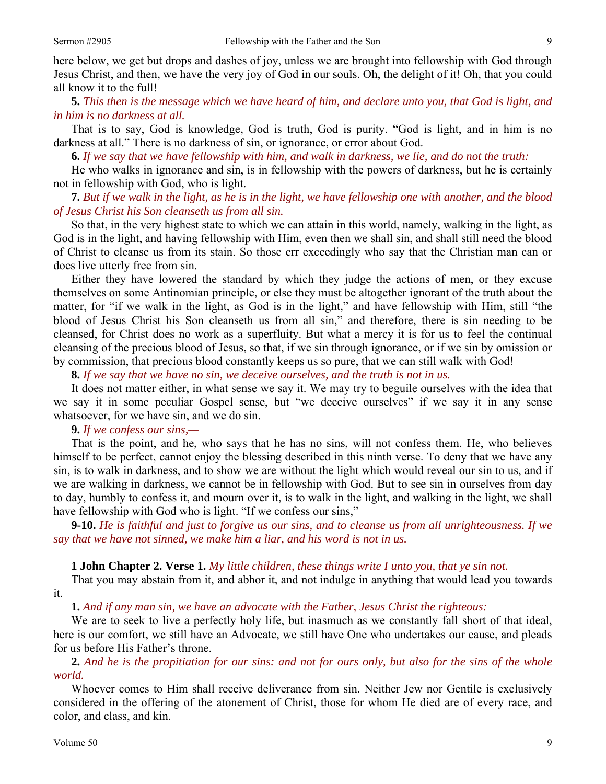here below, we get but drops and dashes of joy, unless we are brought into fellowship with God through Jesus Christ, and then, we have the very joy of God in our souls. Oh, the delight of it! Oh, that you could all know it to the full!

**5.** *This then is the message which we have heard of him, and declare unto you, that God is light, and in him is no darkness at all.* 

That is to say, God is knowledge, God is truth, God is purity. "God is light, and in him is no darkness at all." There is no darkness of sin, or ignorance, or error about God.

**6.** *If we say that we have fellowship with him, and walk in darkness, we lie, and do not the truth:* 

He who walks in ignorance and sin, is in fellowship with the powers of darkness, but he is certainly not in fellowship with God, who is light.

**7.** *But if we walk in the light, as he is in the light, we have fellowship one with another, and the blood of Jesus Christ his Son cleanseth us from all sin.* 

So that, in the very highest state to which we can attain in this world, namely, walking in the light, as God is in the light, and having fellowship with Him, even then we shall sin, and shall still need the blood of Christ to cleanse us from its stain. So those err exceedingly who say that the Christian man can or does live utterly free from sin.

Either they have lowered the standard by which they judge the actions of men, or they excuse themselves on some Antinomian principle, or else they must be altogether ignorant of the truth about the matter, for "if we walk in the light, as God is in the light," and have fellowship with Him, still "the blood of Jesus Christ his Son cleanseth us from all sin," and therefore, there is sin needing to be cleansed, for Christ does no work as a superfluity. But what a mercy it is for us to feel the continual cleansing of the precious blood of Jesus, so that, if we sin through ignorance, or if we sin by omission or by commission, that precious blood constantly keeps us so pure, that we can still walk with God!

**8.** *If we say that we have no sin, we deceive ourselves, and the truth is not in us.* 

It does not matter either, in what sense we say it. We may try to beguile ourselves with the idea that we say it in some peculiar Gospel sense, but "we deceive ourselves" if we say it in any sense whatsoever, for we have sin, and we do sin.

### **9.** *If we confess our sins,—*

That is the point, and he, who says that he has no sins, will not confess them. He, who believes himself to be perfect, cannot enjoy the blessing described in this ninth verse. To deny that we have any sin, is to walk in darkness, and to show we are without the light which would reveal our sin to us, and if we are walking in darkness, we cannot be in fellowship with God. But to see sin in ourselves from day to day, humbly to confess it, and mourn over it, is to walk in the light, and walking in the light, we shall have fellowship with God who is light. "If we confess our sins,"—

**9-10.** *He is faithful and just to forgive us our sins, and to cleanse us from all unrighteousness. If we say that we have not sinned, we make him a liar, and his word is not in us.* 

### **1 John Chapter 2. Verse 1.** *My little children, these things write I unto you, that ye sin not.*

That you may abstain from it, and abhor it, and not indulge in anything that would lead you towards it.

**1.** *And if any man sin, we have an advocate with the Father, Jesus Christ the righteous:* 

We are to seek to live a perfectly holy life, but inasmuch as we constantly fall short of that ideal, here is our comfort, we still have an Advocate, we still have One who undertakes our cause, and pleads for us before His Father's throne.

**2.** *And he is the propitiation for our sins: and not for ours only, but also for the sins of the whole world.* 

Whoever comes to Him shall receive deliverance from sin. Neither Jew nor Gentile is exclusively considered in the offering of the atonement of Christ, those for whom He died are of every race, and color, and class, and kin.